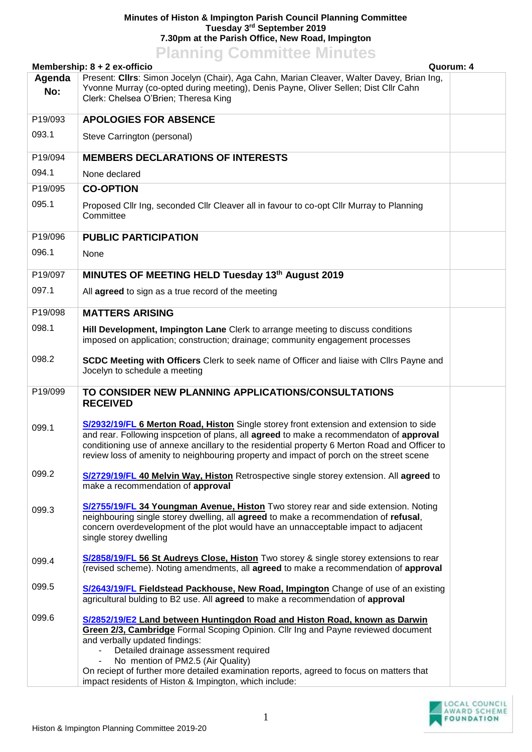## **Minutes of Histon & Impington Parish Council Planning Committee Tuesday 3 rd September 2019 7.30pm at the Parish Office, New Road, Impington Planning Committee Minutes**

| Present: Cllrs: Simon Jocelyn (Chair), Aga Cahn, Marian Cleaver, Walter Davey, Brian Ing,<br>Agenda<br>Yvonne Murray (co-opted during meeting), Denis Payne, Oliver Sellen; Dist Cllr Cahn<br>No:<br>Clerk: Chelsea O'Brien; Theresa King<br><b>APOLOGIES FOR ABSENCE</b><br>P19/093<br>093.1<br>Steve Carrington (personal)<br>P19/094<br><b>MEMBERS DECLARATIONS OF INTERESTS</b><br>094.1<br>None declared<br>P19/095<br><b>CO-OPTION</b><br>095.1<br>Proposed Cllr Ing, seconded Cllr Cleaver all in favour to co-opt Cllr Murray to Planning<br>Committee<br>P19/096<br><b>PUBLIC PARTICIPATION</b><br>096.1<br>None<br>P19/097<br>MINUTES OF MEETING HELD Tuesday 13th August 2019<br>097.1<br>All agreed to sign as a true record of the meeting<br><b>MATTERS ARISING</b><br>P19/098<br>098.1<br>Hill Development, Impington Lane Clerk to arrange meeting to discuss conditions<br>imposed on application; construction; drainage; community engagement processes<br>098.2<br>SCDC Meeting with Officers Clerk to seek name of Officer and liaise with Cllrs Payne and<br>Jocelyn to schedule a meeting<br>TO CONSIDER NEW PLANNING APPLICATIONS/CONSULTATIONS<br>P19/099<br><b>RECEIVED</b><br>S/2932/19/FL 6 Merton Road, Histon Single storey front extension and extension to side<br>099.1<br>and rear. Following inspection of plans, all agreed to make a recommendaton of approval<br>conditioning use of annexe ancillary to the residential property 6 Merton Road and Officer to<br>review loss of amenity to neighbouring property and impact of porch on the street scene<br>099.2<br>S/2729/19/FL 40 Melvin Way, Histon Retrospective single storey extension. All agreed to<br>make a recommendation of approval<br><b>S/2755/19/FL 34 Youngman Avenue, Histon</b> Two storey rear and side extension. Noting<br>099.3<br>neighbouring single storey dwelling, all agreed to make a recommendation of refusal,<br>concern overdevelopment of the plot would have an unnacceptable impact to adjacent<br>single storey dwelling<br>S/2858/19/FL 56 St Audreys Close, Histon Two storey & single storey extensions to rear<br>099.4<br>(revised scheme). Noting amendments, all agreed to make a recommendation of approval<br>099.5<br>S/2643/19/FL Fieldstead Packhouse, New Road, Impington Change of use of an existing<br>agricultural bulding to B2 use. All agreed to make a recommendation of approval<br>099.6<br>S/2852/19/E2 Land between Huntingdon Road and Histon Road, known as Darwin<br>Green 2/3, Cambridge Formal Scoping Opinion. Cllr Ing and Payne reviewed document<br>and verbally updated findings:<br>Detailed drainage assessment required<br>No mention of PM2.5 (Air Quality)<br>$\overline{\phantom{a}}$<br>On reciept of further more detailed examination reports, agreed to focus on matters that |                              | <b>FIGHTING COMMUTE</b> MINUTES<br>Quorum: 4           |  |  |  |
|----------------------------------------------------------------------------------------------------------------------------------------------------------------------------------------------------------------------------------------------------------------------------------------------------------------------------------------------------------------------------------------------------------------------------------------------------------------------------------------------------------------------------------------------------------------------------------------------------------------------------------------------------------------------------------------------------------------------------------------------------------------------------------------------------------------------------------------------------------------------------------------------------------------------------------------------------------------------------------------------------------------------------------------------------------------------------------------------------------------------------------------------------------------------------------------------------------------------------------------------------------------------------------------------------------------------------------------------------------------------------------------------------------------------------------------------------------------------------------------------------------------------------------------------------------------------------------------------------------------------------------------------------------------------------------------------------------------------------------------------------------------------------------------------------------------------------------------------------------------------------------------------------------------------------------------------------------------------------------------------------------------------------------------------------------------------------------------------------------------------------------------------------------------------------------------------------------------------------------------------------------------------------------------------------------------------------------------------------------------------------------------------------------------------------------------------------------------------------------------------------------------------------------------------------------------------------------------------------------------------------------------------------------------------------------------------------------------------------------------------------------------------------------------------------------------------------------------------------------|------------------------------|--------------------------------------------------------|--|--|--|
|                                                                                                                                                                                                                                                                                                                                                                                                                                                                                                                                                                                                                                                                                                                                                                                                                                                                                                                                                                                                                                                                                                                                                                                                                                                                                                                                                                                                                                                                                                                                                                                                                                                                                                                                                                                                                                                                                                                                                                                                                                                                                                                                                                                                                                                                                                                                                                                                                                                                                                                                                                                                                                                                                                                                                                                                                                                          | Membership: 8 + 2 ex-officio |                                                        |  |  |  |
|                                                                                                                                                                                                                                                                                                                                                                                                                                                                                                                                                                                                                                                                                                                                                                                                                                                                                                                                                                                                                                                                                                                                                                                                                                                                                                                                                                                                                                                                                                                                                                                                                                                                                                                                                                                                                                                                                                                                                                                                                                                                                                                                                                                                                                                                                                                                                                                                                                                                                                                                                                                                                                                                                                                                                                                                                                                          |                              |                                                        |  |  |  |
|                                                                                                                                                                                                                                                                                                                                                                                                                                                                                                                                                                                                                                                                                                                                                                                                                                                                                                                                                                                                                                                                                                                                                                                                                                                                                                                                                                                                                                                                                                                                                                                                                                                                                                                                                                                                                                                                                                                                                                                                                                                                                                                                                                                                                                                                                                                                                                                                                                                                                                                                                                                                                                                                                                                                                                                                                                                          |                              |                                                        |  |  |  |
|                                                                                                                                                                                                                                                                                                                                                                                                                                                                                                                                                                                                                                                                                                                                                                                                                                                                                                                                                                                                                                                                                                                                                                                                                                                                                                                                                                                                                                                                                                                                                                                                                                                                                                                                                                                                                                                                                                                                                                                                                                                                                                                                                                                                                                                                                                                                                                                                                                                                                                                                                                                                                                                                                                                                                                                                                                                          |                              |                                                        |  |  |  |
|                                                                                                                                                                                                                                                                                                                                                                                                                                                                                                                                                                                                                                                                                                                                                                                                                                                                                                                                                                                                                                                                                                                                                                                                                                                                                                                                                                                                                                                                                                                                                                                                                                                                                                                                                                                                                                                                                                                                                                                                                                                                                                                                                                                                                                                                                                                                                                                                                                                                                                                                                                                                                                                                                                                                                                                                                                                          |                              |                                                        |  |  |  |
|                                                                                                                                                                                                                                                                                                                                                                                                                                                                                                                                                                                                                                                                                                                                                                                                                                                                                                                                                                                                                                                                                                                                                                                                                                                                                                                                                                                                                                                                                                                                                                                                                                                                                                                                                                                                                                                                                                                                                                                                                                                                                                                                                                                                                                                                                                                                                                                                                                                                                                                                                                                                                                                                                                                                                                                                                                                          |                              |                                                        |  |  |  |
|                                                                                                                                                                                                                                                                                                                                                                                                                                                                                                                                                                                                                                                                                                                                                                                                                                                                                                                                                                                                                                                                                                                                                                                                                                                                                                                                                                                                                                                                                                                                                                                                                                                                                                                                                                                                                                                                                                                                                                                                                                                                                                                                                                                                                                                                                                                                                                                                                                                                                                                                                                                                                                                                                                                                                                                                                                                          |                              |                                                        |  |  |  |
|                                                                                                                                                                                                                                                                                                                                                                                                                                                                                                                                                                                                                                                                                                                                                                                                                                                                                                                                                                                                                                                                                                                                                                                                                                                                                                                                                                                                                                                                                                                                                                                                                                                                                                                                                                                                                                                                                                                                                                                                                                                                                                                                                                                                                                                                                                                                                                                                                                                                                                                                                                                                                                                                                                                                                                                                                                                          |                              |                                                        |  |  |  |
|                                                                                                                                                                                                                                                                                                                                                                                                                                                                                                                                                                                                                                                                                                                                                                                                                                                                                                                                                                                                                                                                                                                                                                                                                                                                                                                                                                                                                                                                                                                                                                                                                                                                                                                                                                                                                                                                                                                                                                                                                                                                                                                                                                                                                                                                                                                                                                                                                                                                                                                                                                                                                                                                                                                                                                                                                                                          |                              |                                                        |  |  |  |
|                                                                                                                                                                                                                                                                                                                                                                                                                                                                                                                                                                                                                                                                                                                                                                                                                                                                                                                                                                                                                                                                                                                                                                                                                                                                                                                                                                                                                                                                                                                                                                                                                                                                                                                                                                                                                                                                                                                                                                                                                                                                                                                                                                                                                                                                                                                                                                                                                                                                                                                                                                                                                                                                                                                                                                                                                                                          |                              |                                                        |  |  |  |
|                                                                                                                                                                                                                                                                                                                                                                                                                                                                                                                                                                                                                                                                                                                                                                                                                                                                                                                                                                                                                                                                                                                                                                                                                                                                                                                                                                                                                                                                                                                                                                                                                                                                                                                                                                                                                                                                                                                                                                                                                                                                                                                                                                                                                                                                                                                                                                                                                                                                                                                                                                                                                                                                                                                                                                                                                                                          |                              |                                                        |  |  |  |
|                                                                                                                                                                                                                                                                                                                                                                                                                                                                                                                                                                                                                                                                                                                                                                                                                                                                                                                                                                                                                                                                                                                                                                                                                                                                                                                                                                                                                                                                                                                                                                                                                                                                                                                                                                                                                                                                                                                                                                                                                                                                                                                                                                                                                                                                                                                                                                                                                                                                                                                                                                                                                                                                                                                                                                                                                                                          |                              |                                                        |  |  |  |
|                                                                                                                                                                                                                                                                                                                                                                                                                                                                                                                                                                                                                                                                                                                                                                                                                                                                                                                                                                                                                                                                                                                                                                                                                                                                                                                                                                                                                                                                                                                                                                                                                                                                                                                                                                                                                                                                                                                                                                                                                                                                                                                                                                                                                                                                                                                                                                                                                                                                                                                                                                                                                                                                                                                                                                                                                                                          |                              |                                                        |  |  |  |
|                                                                                                                                                                                                                                                                                                                                                                                                                                                                                                                                                                                                                                                                                                                                                                                                                                                                                                                                                                                                                                                                                                                                                                                                                                                                                                                                                                                                                                                                                                                                                                                                                                                                                                                                                                                                                                                                                                                                                                                                                                                                                                                                                                                                                                                                                                                                                                                                                                                                                                                                                                                                                                                                                                                                                                                                                                                          |                              |                                                        |  |  |  |
|                                                                                                                                                                                                                                                                                                                                                                                                                                                                                                                                                                                                                                                                                                                                                                                                                                                                                                                                                                                                                                                                                                                                                                                                                                                                                                                                                                                                                                                                                                                                                                                                                                                                                                                                                                                                                                                                                                                                                                                                                                                                                                                                                                                                                                                                                                                                                                                                                                                                                                                                                                                                                                                                                                                                                                                                                                                          |                              |                                                        |  |  |  |
|                                                                                                                                                                                                                                                                                                                                                                                                                                                                                                                                                                                                                                                                                                                                                                                                                                                                                                                                                                                                                                                                                                                                                                                                                                                                                                                                                                                                                                                                                                                                                                                                                                                                                                                                                                                                                                                                                                                                                                                                                                                                                                                                                                                                                                                                                                                                                                                                                                                                                                                                                                                                                                                                                                                                                                                                                                                          |                              |                                                        |  |  |  |
|                                                                                                                                                                                                                                                                                                                                                                                                                                                                                                                                                                                                                                                                                                                                                                                                                                                                                                                                                                                                                                                                                                                                                                                                                                                                                                                                                                                                                                                                                                                                                                                                                                                                                                                                                                                                                                                                                                                                                                                                                                                                                                                                                                                                                                                                                                                                                                                                                                                                                                                                                                                                                                                                                                                                                                                                                                                          |                              |                                                        |  |  |  |
|                                                                                                                                                                                                                                                                                                                                                                                                                                                                                                                                                                                                                                                                                                                                                                                                                                                                                                                                                                                                                                                                                                                                                                                                                                                                                                                                                                                                                                                                                                                                                                                                                                                                                                                                                                                                                                                                                                                                                                                                                                                                                                                                                                                                                                                                                                                                                                                                                                                                                                                                                                                                                                                                                                                                                                                                                                                          |                              |                                                        |  |  |  |
|                                                                                                                                                                                                                                                                                                                                                                                                                                                                                                                                                                                                                                                                                                                                                                                                                                                                                                                                                                                                                                                                                                                                                                                                                                                                                                                                                                                                                                                                                                                                                                                                                                                                                                                                                                                                                                                                                                                                                                                                                                                                                                                                                                                                                                                                                                                                                                                                                                                                                                                                                                                                                                                                                                                                                                                                                                                          |                              |                                                        |  |  |  |
|                                                                                                                                                                                                                                                                                                                                                                                                                                                                                                                                                                                                                                                                                                                                                                                                                                                                                                                                                                                                                                                                                                                                                                                                                                                                                                                                                                                                                                                                                                                                                                                                                                                                                                                                                                                                                                                                                                                                                                                                                                                                                                                                                                                                                                                                                                                                                                                                                                                                                                                                                                                                                                                                                                                                                                                                                                                          |                              |                                                        |  |  |  |
|                                                                                                                                                                                                                                                                                                                                                                                                                                                                                                                                                                                                                                                                                                                                                                                                                                                                                                                                                                                                                                                                                                                                                                                                                                                                                                                                                                                                                                                                                                                                                                                                                                                                                                                                                                                                                                                                                                                                                                                                                                                                                                                                                                                                                                                                                                                                                                                                                                                                                                                                                                                                                                                                                                                                                                                                                                                          |                              |                                                        |  |  |  |
|                                                                                                                                                                                                                                                                                                                                                                                                                                                                                                                                                                                                                                                                                                                                                                                                                                                                                                                                                                                                                                                                                                                                                                                                                                                                                                                                                                                                                                                                                                                                                                                                                                                                                                                                                                                                                                                                                                                                                                                                                                                                                                                                                                                                                                                                                                                                                                                                                                                                                                                                                                                                                                                                                                                                                                                                                                                          |                              | impact residents of Histon & Impington, which include: |  |  |  |